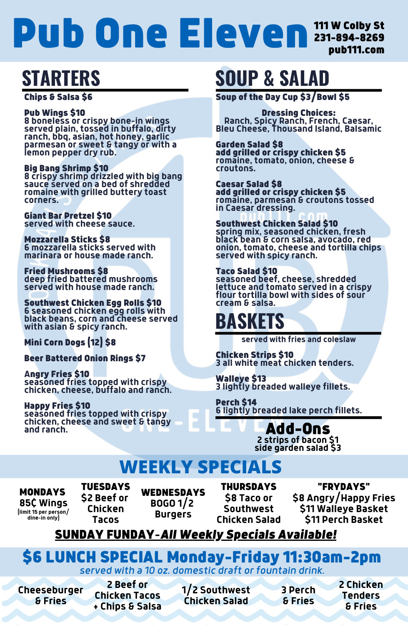Chips & Salsa \$6

### Pub Wings \$10

**8 boneless or crispy bone-in wings served plain, tossed in buffalo, dirty ranch, bbq, asian, hot honey, garlic parmesan or sweet & tangy or with a lemon pepper dry rub.**

### Big Bang Shrimp \$10

**8 crispy shrimp drizzled with big bang sauce served on a bed of shredded romaine with grilled buttery toast corners.**

Giant Bar Pretzel \$10 **served with cheese sauce.**

Mozzarella Sticks \$8 **6 mozzarella sticks served with marinara or house made ranch.**

#### Fried Mushrooms \$8

**deep fried battered mushrooms served with house made ranch.**

Southwest Chicken Egg Rolls \$10 **6 seasoned chicken egg rolls with black beans, corn and cheese served with asian & spicy ranch.**

Mini Corn Dogs (12) \$8

Beer Battered Onion Rings \$7

**A**ngry Fries \$10 **seasoned fries topped with crispy chicken, cheese, buffalo and ranch.**

Happy Fries \$10 **seasoned fries topped with crispy chicken, cheese and sweet & tangy and ranch.**

# **STARTERS**

Soup of the Day Cup \$3/Bowl \$5

Dressing Choices: **Ranch, Spicy Ranch, French, Caesar, Bleu Cheese, Thousand Island, Balsamic**

Garden Salad \$8 add grilled or crispy chicken \$5 **romaine, tomato, onion, cheese & croutons.**

**WEDNESDAYS BOGO 1/2 Burgers**

Caesar Salad \$8 add grilled or crispy chicken \$5 **romaine, parmesan & croutons tossed in Caesar dressing.**

### Southwest Chicken Salad \$10

**spring mix, seasoned chicken, fresh black bean & corn salsa, avocado, red onion, tomato, cheese and tortilla chips served with spicy ranch.**

### Taco Salad \$10

**seasoned beef, cheese, shredded lettuce and tomato served in a crispy flour tortilla bowl with sides of sour cream & salsa.**

# **SOUP & SALAD**

# \$6 LUNCH SPECIAL Monday-Friday 11:30am-2pm *served with a 10 oz. domestic draft or fountain drink.*

**2 Beef or Chicken Tacos + Chips & Salsa**

**Cheeseburger & Fries**

**1/2 Southwest Chicken Salad**

**2 Chicken Tenders & Fries**

**served with fries and coleslaw**

Chicken Strips \$10 **3 all white meat chicken tenders.**

Walleye \$13 **3 lightly breaded walleye fillets.**

Perch \$14 **6 lightly breaded lake perch fillets.**

> Add-Ons **2 strips of bacon \$1 side garden salad \$3**

# **BASKETS**

**3 Perch & Fries**

# 111 W Colby St 231-894-8269 pub111.com Pub One Eleven

# **WEEKLY SPECIALS**

MONDAYS **85¢ Wings (limit 15 per person/ dine-in only)**

TUESDAYS **\$2 Beef or Chicken Tacos**

THURSDAYS **\$8 Taco or Southwest Chicken Salad**

"FRYDAYS" **\$8 Angry/Happy Fries \$11 Walleye Basket \$11 Perch Basket**

# SUNDAY FUNDAY**-***All Weekly Specials Available!*